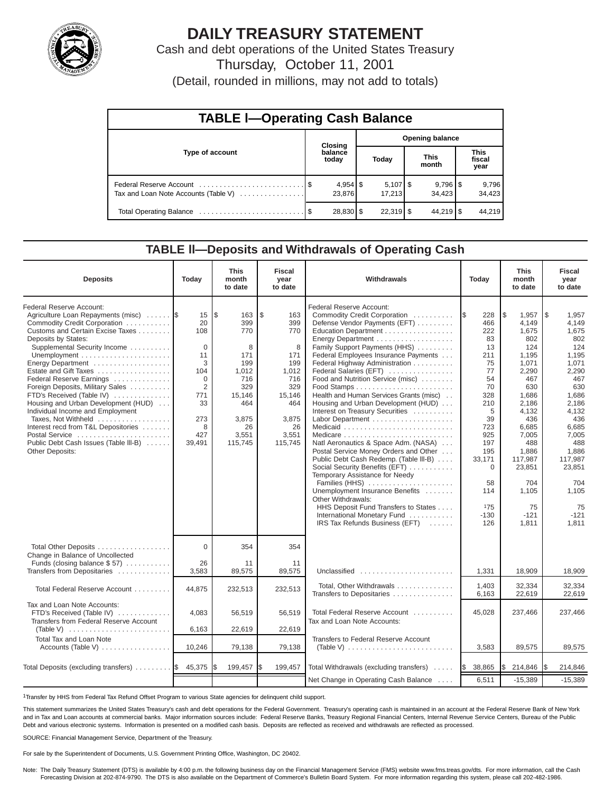

# **DAILY TREASURY STATEMENT**

Cash and debt operations of the United States Treasury

Thursday, October 11, 2001

(Detail, rounded in millions, may not add to totals)

| <b>TABLE I-Operating Cash Balance</b> |  |                      |                        |                              |  |                                 |  |                               |  |  |
|---------------------------------------|--|----------------------|------------------------|------------------------------|--|---------------------------------|--|-------------------------------|--|--|
|                                       |  | Closing              | <b>Opening balance</b> |                              |  |                                 |  |                               |  |  |
| Type of account                       |  | balance<br>today     |                        | Today                        |  | <b>This</b><br>month            |  | <b>This</b><br>fiscal<br>year |  |  |
| Tax and Loan Note Accounts (Table V)  |  | $4,954$ \$<br>23,876 |                        | $5,107$ $\sqrt{5}$<br>17.213 |  | $9,796$ $\frac{8}{3}$<br>34.423 |  | 9,796<br>34,423               |  |  |
|                                       |  | 28,830 \$            |                        | $22.319$ $\sqrt{5}$          |  | $44,219$ $\sqrt{5}$             |  | 44.219                        |  |  |

# **TABLE ll—Deposits and Withdrawals of Operating Cash**

| <b>Deposits</b>                                                                                                                                                                                                                                                                                                                                                                                                                                                                                                                                                 | Today                                                                                                                 | <b>This</b><br>month<br>to date                                                                                        | <b>Fiscal</b><br>year<br>to date                                                                                      | Withdrawals                                                                                                                                                                                                                                                                                                                                                                                                                                                                                                                                                                                                                                                                                                                                                                                         |                                                                                                                                                                                     | <b>This</b><br>month<br>to date                                                                                                                                                                                        | <b>Fiscal</b><br>year<br>to date                                                                                                                                                                                         |
|-----------------------------------------------------------------------------------------------------------------------------------------------------------------------------------------------------------------------------------------------------------------------------------------------------------------------------------------------------------------------------------------------------------------------------------------------------------------------------------------------------------------------------------------------------------------|-----------------------------------------------------------------------------------------------------------------------|------------------------------------------------------------------------------------------------------------------------|-----------------------------------------------------------------------------------------------------------------------|-----------------------------------------------------------------------------------------------------------------------------------------------------------------------------------------------------------------------------------------------------------------------------------------------------------------------------------------------------------------------------------------------------------------------------------------------------------------------------------------------------------------------------------------------------------------------------------------------------------------------------------------------------------------------------------------------------------------------------------------------------------------------------------------------------|-------------------------------------------------------------------------------------------------------------------------------------------------------------------------------------|------------------------------------------------------------------------------------------------------------------------------------------------------------------------------------------------------------------------|--------------------------------------------------------------------------------------------------------------------------------------------------------------------------------------------------------------------------|
| Federal Reserve Account:<br>Agriculture Loan Repayments (misc)  \$<br>Commodity Credit Corporation<br>Customs and Certain Excise Taxes<br>Deposits by States:<br>Supplemental Security Income<br>Energy Department<br>Estate and Gift Taxes<br>Federal Reserve Earnings<br>Foreign Deposits, Military Sales<br>FTD's Received (Table IV)<br>Housing and Urban Development (HUD)<br>Individual Income and Employment<br>Taxes, Not Withheld<br>Interest recd from T&L Depositories<br>Postal Service<br>Public Debt Cash Issues (Table III-B)<br>Other Deposits: | 15<br>20<br>108<br>$\Omega$<br>11<br>3<br>104<br>$\Omega$<br>$\overline{2}$<br>771<br>33<br>273<br>8<br>427<br>39,491 | l\$<br>163<br>399<br>770<br>8<br>171<br>199<br>1.012<br>716<br>329<br>15,146<br>464<br>3,875<br>26<br>3,551<br>115,745 | \$<br>163<br>399<br>770<br>8<br>171<br>199<br>1,012<br>716<br>329<br>15,146<br>464<br>3,875<br>26<br>3.551<br>115,745 | Federal Reserve Account:<br>Commodity Credit Corporation<br>Defense Vendor Payments (EFT)<br>Education Department<br>Family Support Payments (HHS)<br>Federal Employees Insurance Payments<br>Federal Highway Administration<br>Federal Salaries (EFT)<br>Food and Nutrition Service (misc)<br>Health and Human Services Grants (misc)<br>Housing and Urban Development (HUD)<br>Interest on Treasury Securities<br>Natl Aeronautics & Space Adm. (NASA)<br>Postal Service Money Orders and Other<br>Public Debt Cash Redemp. (Table III-B)<br>Social Security Benefits (EFT)<br>Temporary Assistance for Needy<br>Families (HHS)<br>Unemployment Insurance Benefits<br>Other Withdrawals:<br>HHS Deposit Fund Transfers to States<br>International Monetary Fund<br>IRS Tax Refunds Business (EFT) | I\$<br>228<br>466<br>222<br>83<br>13<br>211<br>75<br>77<br>54<br>70<br>328<br>210<br>5<br>39<br>723<br>925<br>197<br>195<br>33,171<br>$\Omega$<br>58<br>114<br>175<br>$-130$<br>126 | \$<br>1.957<br>4,149<br>1.675<br>802<br>124<br>1.195<br>1,071<br>2,290<br>467<br>630<br>1.686<br>2.186<br>4.132<br>436<br>6.685<br>7.005<br>488<br>1.886<br>117,987<br>23,851<br>704<br>1,105<br>75<br>$-121$<br>1,811 | l \$<br>1,957<br>4,149<br>1.675<br>802<br>124<br>1.195<br>1,071<br>2,290<br>467<br>630<br>1,686<br>2,186<br>4,132<br>436<br>6.685<br>7.005<br>488<br>1.886<br>117,987<br>23.851<br>704<br>1.105<br>75<br>$-121$<br>1,811 |
| Total Other Deposits<br>Change in Balance of Uncollected<br>Funds (closing balance $$57)$                                                                                                                                                                                                                                                                                                                                                                                                                                                                       | $\Omega$<br>26                                                                                                        | 354<br>11                                                                                                              | 354<br>11                                                                                                             |                                                                                                                                                                                                                                                                                                                                                                                                                                                                                                                                                                                                                                                                                                                                                                                                     |                                                                                                                                                                                     |                                                                                                                                                                                                                        |                                                                                                                                                                                                                          |
| Transfers from Depositaries                                                                                                                                                                                                                                                                                                                                                                                                                                                                                                                                     | 3,583                                                                                                                 | 89,575                                                                                                                 | 89,575                                                                                                                | Unclassified                                                                                                                                                                                                                                                                                                                                                                                                                                                                                                                                                                                                                                                                                                                                                                                        | 1,331                                                                                                                                                                               | 18,909                                                                                                                                                                                                                 | 18,909                                                                                                                                                                                                                   |
| Total Federal Reserve Account                                                                                                                                                                                                                                                                                                                                                                                                                                                                                                                                   | 44.875                                                                                                                | 232,513                                                                                                                | 232,513                                                                                                               | Total, Other Withdrawals<br>Transfers to Depositaries                                                                                                                                                                                                                                                                                                                                                                                                                                                                                                                                                                                                                                                                                                                                               | 1,403<br>6,163                                                                                                                                                                      | 32,334<br>22,619                                                                                                                                                                                                       | 32,334<br>22,619                                                                                                                                                                                                         |
| Tax and Loan Note Accounts:<br>FTD's Received (Table IV)<br>Transfers from Federal Reserve Account                                                                                                                                                                                                                                                                                                                                                                                                                                                              | 4.083<br>6,163                                                                                                        | 56,519<br>22,619                                                                                                       | 56.519<br>22.619                                                                                                      | Total Federal Reserve Account<br>Tax and Loan Note Accounts:                                                                                                                                                                                                                                                                                                                                                                                                                                                                                                                                                                                                                                                                                                                                        | 45,028                                                                                                                                                                              | 237,466                                                                                                                                                                                                                | 237,466                                                                                                                                                                                                                  |
| Total Tax and Loan Note<br>Accounts (Table V)                                                                                                                                                                                                                                                                                                                                                                                                                                                                                                                   | 10,246                                                                                                                | 79,138                                                                                                                 | 79,138                                                                                                                | Transfers to Federal Reserve Account                                                                                                                                                                                                                                                                                                                                                                                                                                                                                                                                                                                                                                                                                                                                                                | 3,583                                                                                                                                                                               | 89,575                                                                                                                                                                                                                 | 89,575                                                                                                                                                                                                                   |
| Total Deposits (excluding transfers) $\ldots \ldots$ $\frac{1}{3}$ 45,375                                                                                                                                                                                                                                                                                                                                                                                                                                                                                       |                                                                                                                       | 199,457                                                                                                                | l\$<br>199,457                                                                                                        | Total Withdrawals (excluding transfers)                                                                                                                                                                                                                                                                                                                                                                                                                                                                                                                                                                                                                                                                                                                                                             | 38,865<br><b>IS</b>                                                                                                                                                                 | l\$<br>214,846                                                                                                                                                                                                         | 214,846<br>I\$                                                                                                                                                                                                           |
|                                                                                                                                                                                                                                                                                                                                                                                                                                                                                                                                                                 |                                                                                                                       |                                                                                                                        |                                                                                                                       | Net Change in Operating Cash Balance                                                                                                                                                                                                                                                                                                                                                                                                                                                                                                                                                                                                                                                                                                                                                                | 6,511                                                                                                                                                                               | $-15,389$                                                                                                                                                                                                              | $-15,389$                                                                                                                                                                                                                |

1Transfer by HHS from Federal Tax Refund Offset Program to various State agencies for delinquent child support.

This statement summarizes the United States Treasury's cash and debt operations for the Federal Government. Treasury's operating cash is maintained in an account at the Federal Reserve Bank of New York and in Tax and Loan accounts at commercial banks. Major information sources include: Federal Reserve Banks, Treasury Regional Financial Centers, Internal Revenue Service Centers, Bureau of the Public Debt and various electronic systems. Information is presented on a modified cash basis. Deposits are reflected as received and withdrawals are reflected as processed.

SOURCE: Financial Management Service, Department of the Treasury.

For sale by the Superintendent of Documents, U.S. Government Printing Office, Washington, DC 20402.

Note: The Daily Treasury Statement (DTS) is available by 4:00 p.m. the following business day on the Financial Management Service (FMS) website www.fms.treas.gov/dts. For more information, call the Cash<br>Forecasting Divisio